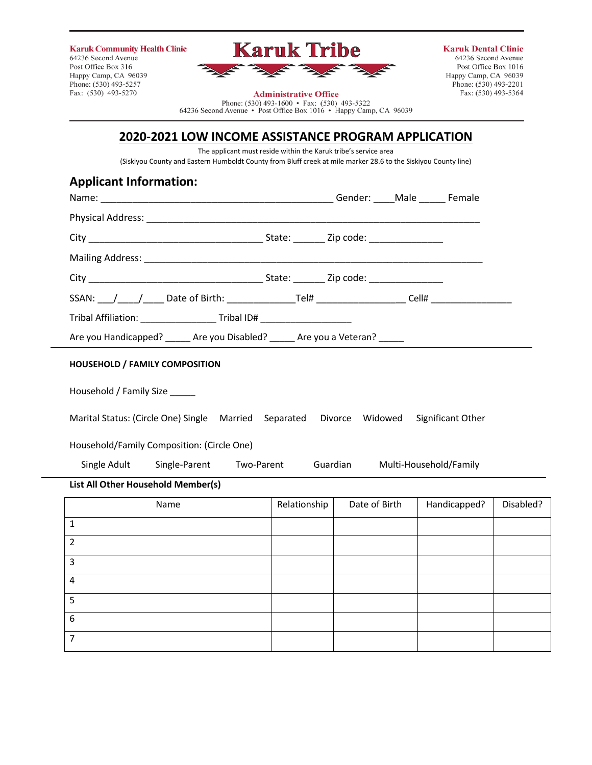| <b>Karuk Community Health Clinic</b><br>64236 Second Avenue | <b>Karuk Tribe</b>           | <b>Karuk Dental Clinic</b><br>64236 Second Avenue |
|-------------------------------------------------------------|------------------------------|---------------------------------------------------|
| Post Office Box 316                                         | $\frac{1}{2}$                | Post Office Box 1016                              |
| Happy Camp, CA 96039                                        |                              | Happy Camp, CA 96039                              |
| Phone: (530) 493-5257                                       |                              | Phone: (530) 493-2201                             |
| Fax: (530) 493-5270                                         | <b>Administrative Office</b> | Fax: (530) 493-5364                               |

### **Administrative Office**

Phone: (530) 493-1600 • Fax: (530) 493-5322<br>64236 Second Avenue • Post Office Box 1016 • Happy Camp, CA 96039

## **2020-2021 LOW INCOME ASSISTANCE PROGRAM APPLICATION**

The applicant must reside within the Karuk tribe's service area (Siskiyou County and Eastern Humboldt County from Bluff creek at mile marker 28.6 to the Siskiyou County line)

| <b>Applicant Information:</b>                                                    |                             |                           |               |                        |           |
|----------------------------------------------------------------------------------|-----------------------------|---------------------------|---------------|------------------------|-----------|
|                                                                                  |                             |                           |               |                        |           |
|                                                                                  |                             |                           |               |                        |           |
|                                                                                  |                             |                           |               |                        |           |
|                                                                                  |                             |                           |               |                        |           |
|                                                                                  |                             |                           |               |                        |           |
| Tribal Affiliation: _________________________Tribal ID# ________________________ |                             |                           |               |                        |           |
| Are you Handicapped? ______ Are you Disabled? _____ Are you a Veteran? _____     |                             |                           |               |                        |           |
| <b>HOUSEHOLD / FAMILY COMPOSITION</b>                                            |                             |                           |               |                        |           |
| Household / Family Size                                                          |                             |                           |               |                        |           |
| Marital Status: (Circle One) Single Married                                      |                             | Separated Divorce Widowed |               | Significant Other      |           |
| Household/Family Composition: (Circle One)                                       |                             |                           |               |                        |           |
| Single Adult                                                                     | Single-Parent<br>Two-Parent |                           | Guardian      | Multi-Household/Family |           |
| List All Other Household Member(s)                                               |                             |                           |               |                        |           |
| Name                                                                             |                             | Relationship              | Date of Birth | Handicapped?           | Disabled? |
| $\mathbf{1}$                                                                     |                             |                           |               |                        |           |
| $\mathcal{P}$                                                                    |                             |                           |               |                        |           |
| 3                                                                                |                             |                           |               |                        |           |
| $\overline{a}$                                                                   |                             |                           |               |                        |           |
| 5                                                                                |                             |                           |               |                        |           |

6 7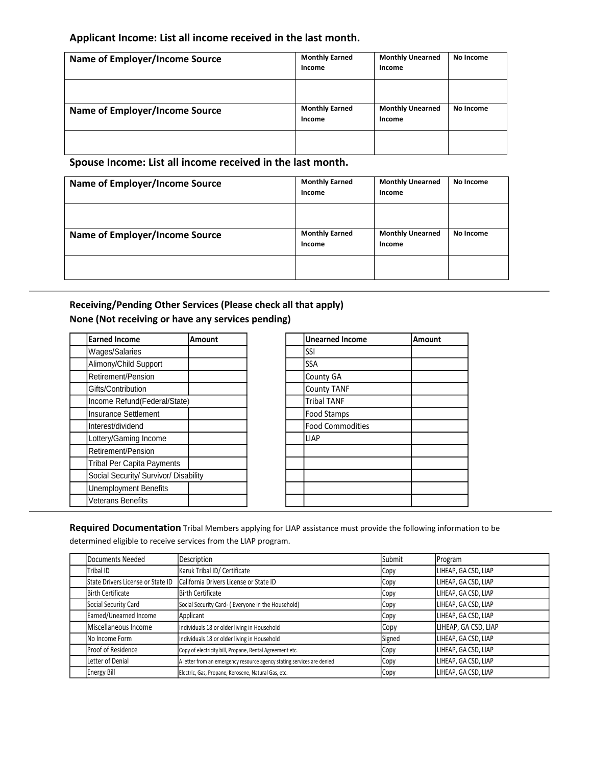### **Applicant Income: List all income received in the last month.**

| <b>Name of Employer/Income Source</b> | <b>Monthly Earned</b><br>Income | <b>Monthly Unearned</b><br>Income | No Income |
|---------------------------------------|---------------------------------|-----------------------------------|-----------|
| <b>Name of Employer/Income Source</b> | <b>Monthly Earned</b><br>Income | <b>Monthly Unearned</b><br>Income | No Income |
|                                       |                                 |                                   |           |

### **Spouse Income: List all income received in the last month.**

| Name of Employer/Income Source        | <b>Monthly Earned</b><br>Income | <b>Monthly Unearned</b><br>Income | No Income |
|---------------------------------------|---------------------------------|-----------------------------------|-----------|
|                                       |                                 |                                   |           |
| <b>Name of Employer/Income Source</b> | <b>Monthly Earned</b><br>Income | <b>Monthly Unearned</b><br>Income | No Income |
|                                       |                                 |                                   |           |

### **Receiving/Pending Other Services (Please check all that apply) None (Not receiving or have any services pending)**

| <b>Earned Income</b>                  | <b>Amount</b> | <b>Unearned Income</b>  | <b>Amount</b> |
|---------------------------------------|---------------|-------------------------|---------------|
| Wages/Salaries                        |               | SSI                     |               |
| Alimony/Child Support                 |               | <b>SSA</b>              |               |
| Retirement/Pension                    |               | <b>County GA</b>        |               |
| Gifts/Contribution                    |               | <b>County TANF</b>      |               |
| Income Refund(Federal/State)          |               | <b>Tribal TANF</b>      |               |
| Insurance Settlement                  |               | Food Stamps             |               |
| Interest/dividend                     |               | <b>Food Commodities</b> |               |
| Lottery/Gaming Income                 |               | <b>LIAP</b>             |               |
| Retirement/Pension                    |               |                         |               |
| <b>Tribal Per Capita Payments</b>     |               |                         |               |
| Social Security/ Survivor/ Disability |               |                         |               |
| <b>Unemployment Benefits</b>          |               |                         |               |
| Veterans Benefits                     |               |                         |               |

| <b>Unearned Income</b>  | Amount |
|-------------------------|--------|
| SSI                     |        |
| SSA                     |        |
| County GA               |        |
| <b>County TANF</b>      |        |
| <b>Tribal TANF</b>      |        |
| Food Stamps             |        |
| <b>Food Commodities</b> |        |
| <b>LIAP</b>             |        |
|                         |        |
|                         |        |
|                         |        |
|                         |        |
|                         |        |

**Required Documentation** Tribal Members applying for LIAP assistance must provide the following information to be determined eligible to receive services from the LIAP program.

| Documents Needed                  | Description                                                            | Submit | Program              |
|-----------------------------------|------------------------------------------------------------------------|--------|----------------------|
| Tribal ID                         | Karuk Tribal ID/ Certificate                                           | Copy   | LIHEAP, GA CSD, LIAP |
| State Drivers License or State ID | California Drivers License or State ID                                 | Copy   | LIHEAP, GA CSD, LIAP |
| <b>Birth Certificate</b>          | Birth Certificate                                                      | Copy   | LIHEAP, GA CSD, LIAP |
| Social Security Card              | Social Security Card- (Everyone in the Household)                      | Copy   | LIHEAP, GA CSD, LIAP |
| Earned/Unearned Income            | Applicant                                                              | Copy   | LIHEAP, GA CSD, LIAP |
| Miscellaneous Income              | Individuals 18 or older living in Household                            | Copy   | LIHEAP, GA CSD, LIAP |
| INo Income Form                   | Individuals 18 or older living in Household                            | Signed | LIHEAP, GA CSD, LIAP |
| Proof of Residence                | Copy of electricity bill, Propane, Rental Agreement etc.               | Copy   | LIHEAP, GA CSD, LIAP |
| Letter of Denial                  | A letter from an emergency resource agency stating services are denied | Copy   | LIHEAP, GA CSD, LIAP |
| Energy Bill                       | Electric, Gas, Propane, Kerosene, Natural Gas, etc.                    | Copy   | LIHEAP, GA CSD, LIAP |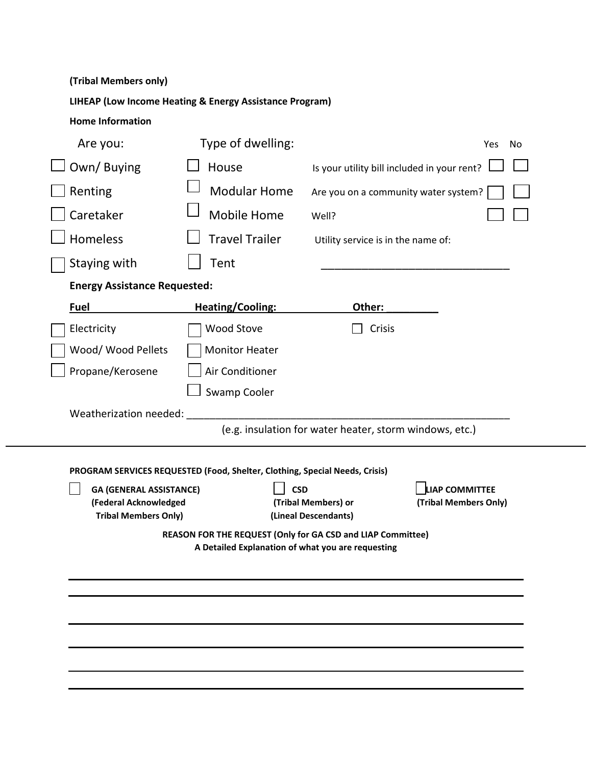| Are you:                                                                               | Type of dwelling:                                                                                                |                                                         | No<br>Yes                                      |
|----------------------------------------------------------------------------------------|------------------------------------------------------------------------------------------------------------------|---------------------------------------------------------|------------------------------------------------|
| Own/Buying                                                                             | House                                                                                                            | Is your utility bill included in your rent?             |                                                |
| Renting                                                                                | <b>Modular Home</b>                                                                                              | Are you on a community water system?                    |                                                |
| Caretaker                                                                              | <b>Mobile Home</b>                                                                                               | Well?                                                   |                                                |
| <b>Homeless</b>                                                                        | <b>Travel Trailer</b>                                                                                            | Utility service is in the name of:                      |                                                |
| Staying with                                                                           | Tent                                                                                                             |                                                         |                                                |
| <b>Energy Assistance Requested:</b>                                                    |                                                                                                                  |                                                         |                                                |
| <b>Fuel</b>                                                                            | <b>Heating/Cooling:</b>                                                                                          | Other:                                                  |                                                |
| Electricity                                                                            | Wood Stove                                                                                                       | Crisis                                                  |                                                |
| Wood/ Wood Pellets                                                                     | <b>Monitor Heater</b>                                                                                            |                                                         |                                                |
| Propane/Kerosene                                                                       | Air Conditioner                                                                                                  |                                                         |                                                |
|                                                                                        |                                                                                                                  | (e.g. insulation for water heater, storm windows, etc.) |                                                |
|                                                                                        | PROGRAM SERVICES REQUESTED (Food, Shelter, Clothing, Special Needs, Crisis)                                      |                                                         |                                                |
| <b>GA (GENERAL ASSISTANCE)</b><br>(Federal Acknowledged<br><b>Tribal Members Only)</b> | <b>CSD</b>                                                                                                       | (Tribal Members) or<br>(Lineal Descendants)             | <b>LIAP COMMITTEE</b><br>(Tribal Members Only) |
|                                                                                        | REASON FOR THE REQUEST (Only for GA CSD and LIAP Committee)<br>A Detailed Explanation of what you are requesting |                                                         |                                                |
|                                                                                        |                                                                                                                  |                                                         |                                                |
|                                                                                        |                                                                                                                  |                                                         |                                                |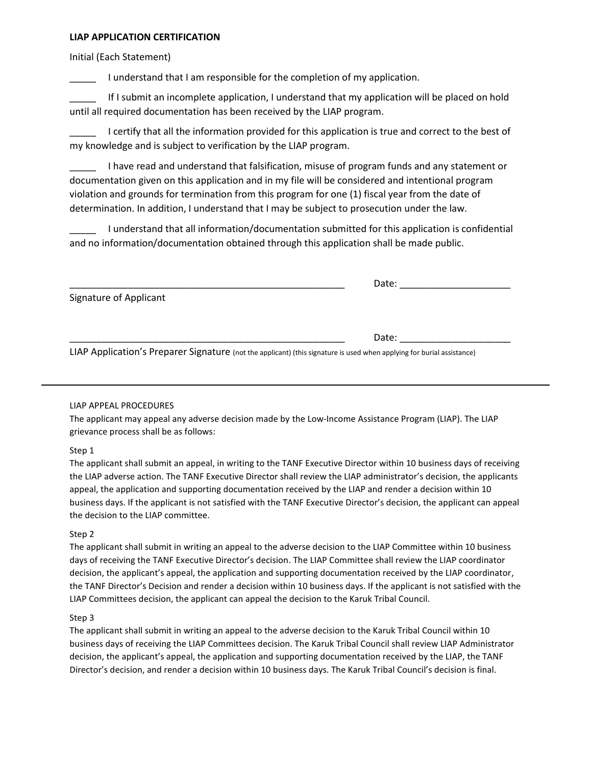### **LIAP APPLICATION CERTIFICATION**

Initial (Each Statement)

I understand that I am responsible for the completion of my application.

If I submit an incomplete application, I understand that my application will be placed on hold until all required documentation has been received by the LIAP program.

I certify that all the information provided for this application is true and correct to the best of my knowledge and is subject to verification by the LIAP program.

\_\_\_\_\_ I have read and understand that falsification, misuse of program funds and any statement or documentation given on this application and in my file will be considered and intentional program violation and grounds for termination from this program for one (1) fiscal year from the date of determination. In addition, I understand that I may be subject to prosecution under the law.

\_\_\_\_\_ I understand that all information/documentation submitted for this application is confidential and no information/documentation obtained through this application shall be made public.

|                        | Date: |  |
|------------------------|-------|--|
| Signature of Applicant |       |  |
|                        |       |  |

\_\_\_\_\_\_\_\_\_\_\_\_\_\_\_\_\_\_\_\_\_\_\_\_\_\_\_\_\_\_\_\_\_\_\_\_\_\_\_\_\_\_\_\_\_\_\_\_\_\_\_\_ Date: \_\_\_\_\_\_\_\_\_\_\_\_\_\_\_\_\_\_\_\_\_

LIAP Application's Preparer Signature (not the applicant) (this signature is used when applying for burial assistance)

### LIAP APPEAL PROCEDURES

The applicant may appeal any adverse decision made by the Low-Income Assistance Program (LIAP). The LIAP grievance process shall be as follows:

### Step 1

The applicant shall submit an appeal, in writing to the TANF Executive Director within 10 business days of receiving the LIAP adverse action. The TANF Executive Director shall review the LIAP administrator's decision, the applicants appeal, the application and supporting documentation received by the LIAP and render a decision within 10 business days. If the applicant is not satisfied with the TANF Executive Director's decision, the applicant can appeal the decision to the LIAP committee.

### Step 2

The applicant shall submit in writing an appeal to the adverse decision to the LIAP Committee within 10 business days of receiving the TANF Executive Director's decision. The LIAP Committee shall review the LIAP coordinator decision, the applicant's appeal, the application and supporting documentation received by the LIAP coordinator, the TANF Director's Decision and render a decision within 10 business days. If the applicant is not satisfied with the LIAP Committees decision, the applicant can appeal the decision to the Karuk Tribal Council.

### Step 3

The applicant shall submit in writing an appeal to the adverse decision to the Karuk Tribal Council within 10 business days of receiving the LIAP Committees decision. The Karuk Tribal Council shall review LIAP Administrator decision, the applicant's appeal, the application and supporting documentation received by the LIAP, the TANF Director's decision, and render a decision within 10 business days. The Karuk Tribal Council's decision is final.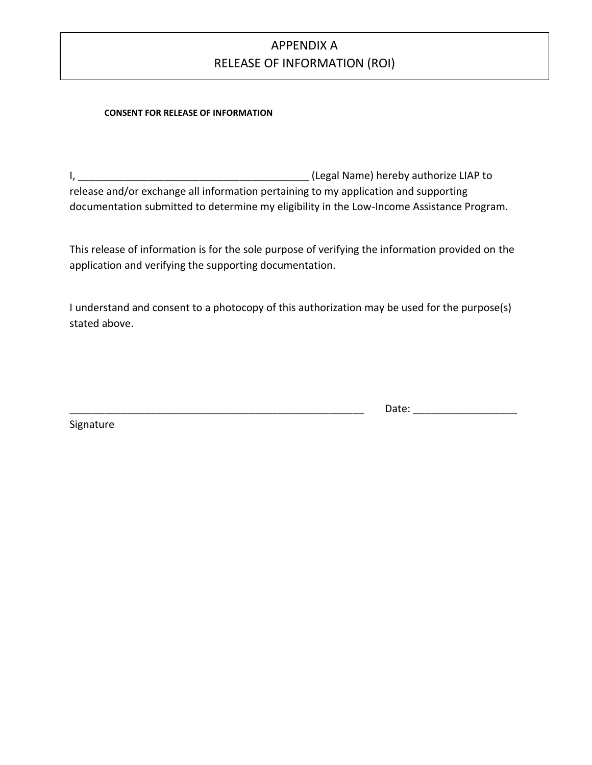# APPENDIX A RELEASE OF INFORMATION (ROI)

### **CONSENT FOR RELEASE OF INFORMATION**

I, \_\_\_\_\_\_\_\_\_\_\_\_\_\_\_\_\_\_\_\_\_\_\_\_\_\_\_\_\_\_\_\_\_\_\_\_\_\_\_\_ (Legal Name) hereby authorize LIAP to release and/or exchange all information pertaining to my application and supporting documentation submitted to determine my eligibility in the Low-Income Assistance Program.

This release of information is for the sole purpose of verifying the information provided on the application and verifying the supporting documentation.

I understand and consent to a photocopy of this authorization may be used for the purpose(s) stated above.

\_\_\_\_\_\_\_\_\_\_\_\_\_\_\_\_\_\_\_\_\_\_\_\_\_\_\_\_\_\_\_\_\_\_\_\_\_\_\_\_\_\_\_\_\_\_\_\_\_\_\_ Date: \_\_\_\_\_\_\_\_\_\_\_\_\_\_\_\_\_\_

Signature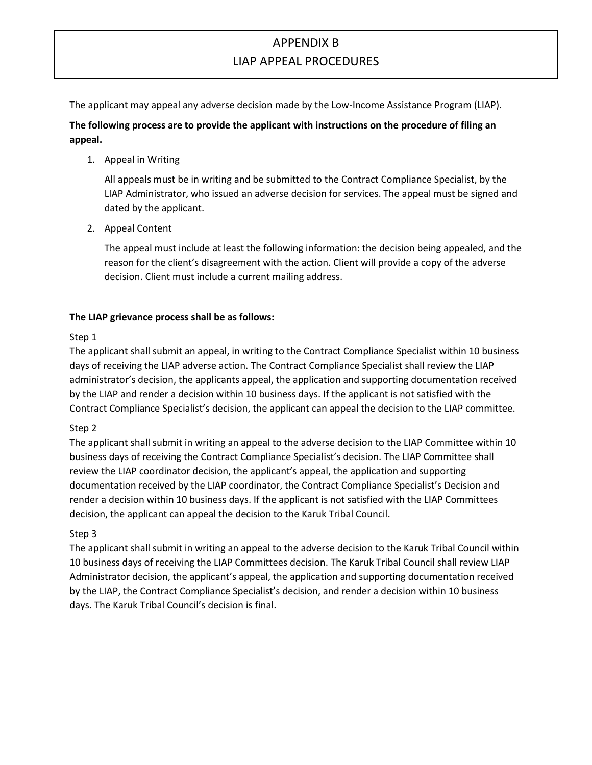## APPENDIX B LIAP APPEAL PROCEDURES

The applicant may appeal any adverse decision made by the Low-Income Assistance Program (LIAP).

### **The following process are to provide the applicant with instructions on the procedure of filing an appeal.**

1. Appeal in Writing

All appeals must be in writing and be submitted to the Contract Compliance Specialist, by the LIAP Administrator, who issued an adverse decision for services. The appeal must be signed and dated by the applicant.

2. Appeal Content

The appeal must include at least the following information: the decision being appealed, and the reason for the client's disagreement with the action. Client will provide a copy of the adverse decision. Client must include a current mailing address.

### **The LIAP grievance process shall be as follows:**

### Step 1

The applicant shall submit an appeal, in writing to the Contract Compliance Specialist within 10 business days of receiving the LIAP adverse action. The Contract Compliance Specialist shall review the LIAP administrator's decision, the applicants appeal, the application and supporting documentation received by the LIAP and render a decision within 10 business days. If the applicant is not satisfied with the Contract Compliance Specialist's decision, the applicant can appeal the decision to the LIAP committee.

### Step 2

The applicant shall submit in writing an appeal to the adverse decision to the LIAP Committee within 10 business days of receiving the Contract Compliance Specialist's decision. The LIAP Committee shall review the LIAP coordinator decision, the applicant's appeal, the application and supporting documentation received by the LIAP coordinator, the Contract Compliance Specialist's Decision and render a decision within 10 business days. If the applicant is not satisfied with the LIAP Committees decision, the applicant can appeal the decision to the Karuk Tribal Council.

### Step 3

The applicant shall submit in writing an appeal to the adverse decision to the Karuk Tribal Council within 10 business days of receiving the LIAP Committees decision. The Karuk Tribal Council shall review LIAP Administrator decision, the applicant's appeal, the application and supporting documentation received by the LIAP, the Contract Compliance Specialist's decision, and render a decision within 10 business days. The Karuk Tribal Council's decision is final.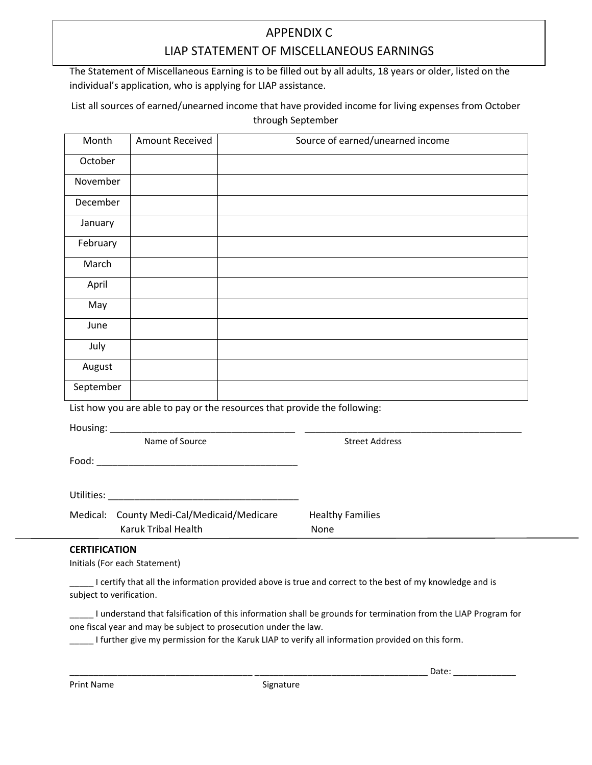## APPENDIX C LIAP STATEMENT OF MISCELLANEOUS EARNINGS

The Statement of Miscellaneous Earning is to be filled out by all adults, 18 years or older, listed on the individual's application, who is applying for LIAP assistance.

List all sources of earned/unearned income that have provided income for living expenses from October through September

| Month     | <b>Amount Received</b>                     | Source of earned/unearned income                                          |
|-----------|--------------------------------------------|---------------------------------------------------------------------------|
| October   |                                            |                                                                           |
| November  |                                            |                                                                           |
| December  |                                            |                                                                           |
| January   |                                            |                                                                           |
| February  |                                            |                                                                           |
| March     |                                            |                                                                           |
| April     |                                            |                                                                           |
| May       |                                            |                                                                           |
| June      |                                            |                                                                           |
| July      |                                            |                                                                           |
| August    |                                            |                                                                           |
| September |                                            |                                                                           |
|           |                                            | List how you are able to pay or the resources that provide the following: |
|           |                                            |                                                                           |
|           | Name of Source                             | <b>Street Address</b>                                                     |
|           |                                            |                                                                           |
|           |                                            |                                                                           |
|           |                                            |                                                                           |
|           | Medical: County Medi-Cal/Medicaid/Medicare | <b>Healthy Families</b>                                                   |

Karuk Tribal Health None

### **CERTIFICATION**

Initials (For each Statement)

\_\_\_\_\_ I certify that all the information provided above is true and correct to the best of my knowledge and is subject to verification.

\_\_\_\_\_ I understand that falsification of this information shall be grounds for termination from the LIAP Program for one fiscal year and may be subject to prosecution under the law.

I further give my permission for the Karuk LIAP to verify all information provided on this form.

Print Name Signature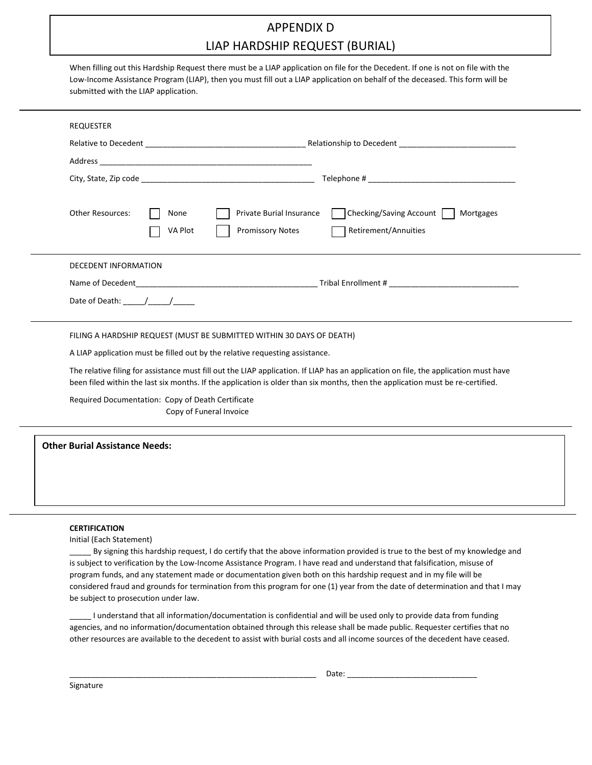## APPENDIX D LIAP HARDSHIP REQUEST (BURIAL)

When filling out this Hardship Request there must be a LIAP application on file for the Decedent. If one is not on file with the Low-Income Assistance Program (LIAP), then you must fill out a LIAP application on behalf of the deceased. This form will be submitted with the LIAP application.

| <b>REQUESTER</b>                    |                                                                                                                                                                                                                                                                        |
|-------------------------------------|------------------------------------------------------------------------------------------------------------------------------------------------------------------------------------------------------------------------------------------------------------------------|
|                                     |                                                                                                                                                                                                                                                                        |
|                                     |                                                                                                                                                                                                                                                                        |
|                                     |                                                                                                                                                                                                                                                                        |
| <b>Other Resources:</b>             | <b>Private Burial Insurance</b><br>Checking/Saving Account<br>Mortgages<br>None<br><b>Promissory Notes</b><br>Retirement/Annuities<br>VA Plot                                                                                                                          |
| <b>DECEDENT INFORMATION</b>         |                                                                                                                                                                                                                                                                        |
|                                     | Name of Decedent and Tribal Enrollment #                                                                                                                                                                                                                               |
| Date of Death: $\frac{1}{\sqrt{2}}$ |                                                                                                                                                                                                                                                                        |
|                                     | FILING A HARDSHIP REQUEST (MUST BE SUBMITTED WITHIN 30 DAYS OF DEATH)                                                                                                                                                                                                  |
|                                     | A LIAP application must be filled out by the relative requesting assistance.                                                                                                                                                                                           |
|                                     | The relative filing for assistance must fill out the LIAP application. If LIAP has an application on file, the application must have<br>been filed within the last six months. If the application is older than six months, then the application must be re-certified. |
|                                     | Required Documentation: Copy of Death Certificate<br>Copy of Funeral Invoice                                                                                                                                                                                           |

**Other Burial Assistance Needs:**

#### **CERTIFICATION**

Initial (Each Statement)

By signing this hardship request, I do certify that the above information provided is true to the best of my knowledge and is subject to verification by the Low-Income Assistance Program. I have read and understand that falsification, misuse of program funds, and any statement made or documentation given both on this hardship request and in my file will be considered fraud and grounds for termination from this program for one (1) year from the date of determination and that I may be subject to prosecution under law.

I understand that all information/documentation is confidential and will be used only to provide data from funding agencies, and no information/documentation obtained through this release shall be made public. Requester certifies that no other resources are available to the decedent to assist with burial costs and all income sources of the decedent have ceased.

Signature